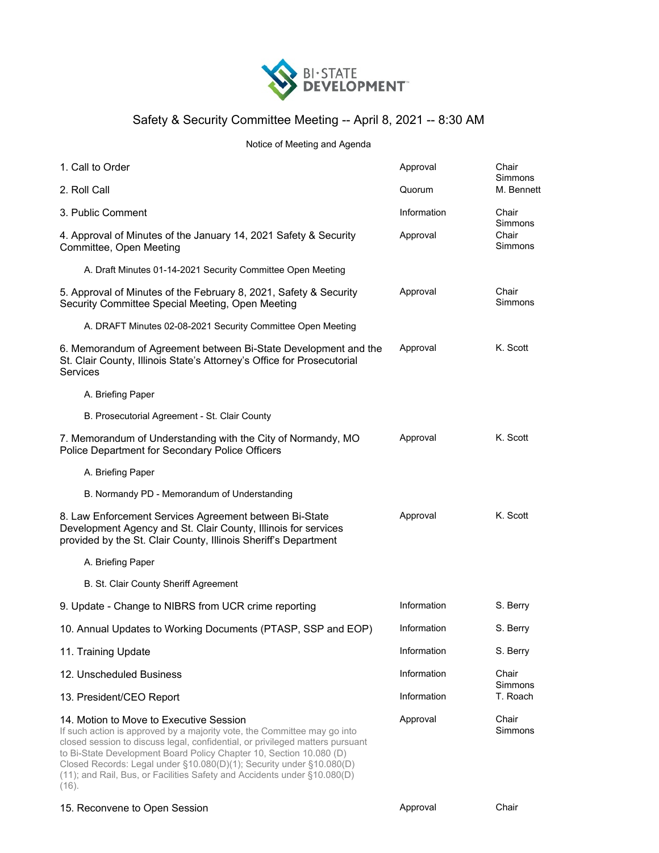

## Safety & Security Committee Meeting -- April 8, 2021 -- 8:30 AM

## Notice of Meeting and Agenda

| 1. Call to Order                                                                                                                                                                                                                                                                                                                                                                                                                | Approval    | Chair<br>Simmons                            |
|---------------------------------------------------------------------------------------------------------------------------------------------------------------------------------------------------------------------------------------------------------------------------------------------------------------------------------------------------------------------------------------------------------------------------------|-------------|---------------------------------------------|
| 2. Roll Call                                                                                                                                                                                                                                                                                                                                                                                                                    | Quorum      | M. Bennett                                  |
| 3. Public Comment                                                                                                                                                                                                                                                                                                                                                                                                               | Information | Chair<br>Simmons<br>Chair<br><b>Simmons</b> |
| 4. Approval of Minutes of the January 14, 2021 Safety & Security<br>Committee, Open Meeting                                                                                                                                                                                                                                                                                                                                     | Approval    |                                             |
| A. Draft Minutes 01-14-2021 Security Committee Open Meeting                                                                                                                                                                                                                                                                                                                                                                     |             |                                             |
| 5. Approval of Minutes of the February 8, 2021, Safety & Security<br>Security Committee Special Meeting, Open Meeting                                                                                                                                                                                                                                                                                                           | Approval    | Chair<br>Simmons                            |
| A. DRAFT Minutes 02-08-2021 Security Committee Open Meeting                                                                                                                                                                                                                                                                                                                                                                     |             |                                             |
| 6. Memorandum of Agreement between Bi-State Development and the<br>St. Clair County, Illinois State's Attorney's Office for Prosecutorial<br>Services                                                                                                                                                                                                                                                                           | Approval    | K. Scott                                    |
| A. Briefing Paper                                                                                                                                                                                                                                                                                                                                                                                                               |             |                                             |
| B. Prosecutorial Agreement - St. Clair County                                                                                                                                                                                                                                                                                                                                                                                   |             |                                             |
| 7. Memorandum of Understanding with the City of Normandy, MO<br>Police Department for Secondary Police Officers                                                                                                                                                                                                                                                                                                                 | Approval    | K. Scott                                    |
| A. Briefing Paper                                                                                                                                                                                                                                                                                                                                                                                                               |             |                                             |
| B. Normandy PD - Memorandum of Understanding                                                                                                                                                                                                                                                                                                                                                                                    |             |                                             |
| 8. Law Enforcement Services Agreement between Bi-State<br>Development Agency and St. Clair County, Illinois for services<br>provided by the St. Clair County, Illinois Sheriff's Department                                                                                                                                                                                                                                     | Approval    | K. Scott                                    |
| A. Briefing Paper                                                                                                                                                                                                                                                                                                                                                                                                               |             |                                             |
| B. St. Clair County Sheriff Agreement                                                                                                                                                                                                                                                                                                                                                                                           |             |                                             |
| 9. Update - Change to NIBRS from UCR crime reporting                                                                                                                                                                                                                                                                                                                                                                            | Information | S. Berry                                    |
| 10. Annual Updates to Working Documents (PTASP, SSP and EOP)                                                                                                                                                                                                                                                                                                                                                                    | Information | S. Berry                                    |
| 11. Training Update                                                                                                                                                                                                                                                                                                                                                                                                             | Information | S. Berry                                    |
| 12. Unscheduled Business                                                                                                                                                                                                                                                                                                                                                                                                        | Information | Chair<br>Simmons<br>T. Roach                |
| 13. President/CEO Report                                                                                                                                                                                                                                                                                                                                                                                                        | Information |                                             |
| 14. Motion to Move to Executive Session<br>If such action is approved by a majority vote, the Committee may go into<br>closed session to discuss legal, confidential, or privileged matters pursuant<br>to Bi-State Development Board Policy Chapter 10, Section 10.080 (D)<br>Closed Records: Legal under §10.080(D)(1); Security under §10.080(D)<br>(11); and Rail, Bus, or Facilities Safety and Accidents under §10.080(D) | Approval    | Chair<br>Simmons                            |